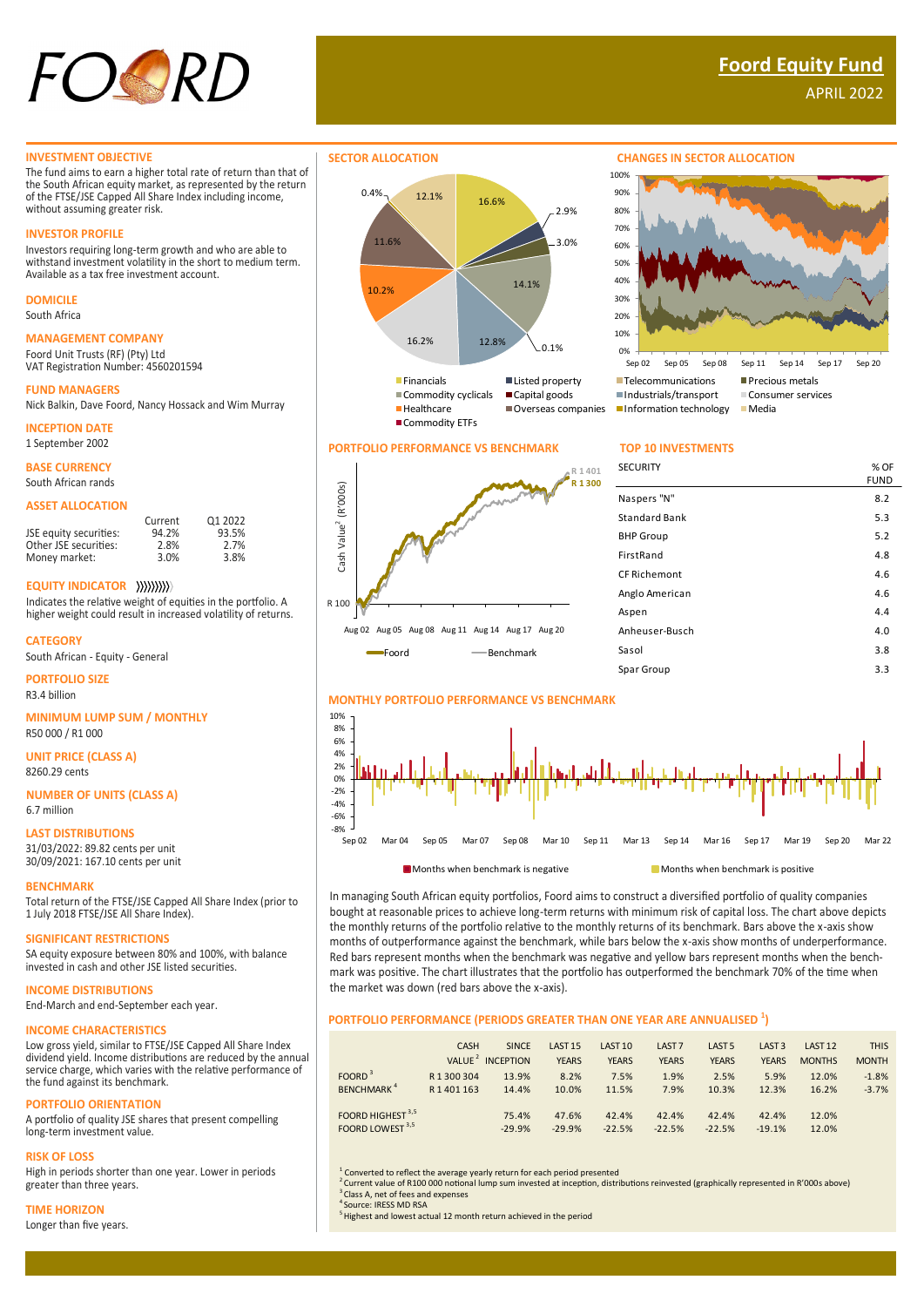

# **Foord Equity Fund**

APRIL 2022

### **INVESTMENT OBJECTIVE**

The fund aims to earn a higher total rate of return than that of the South African equity market, as represented by the return of the FTSE/JSE Capped All Share Index including income, without assuming greater risk.

#### **INVESTOR PROFILE**

Investors requiring long-term growth and who are able to westers requiring iong term growth and who are able to withstand investment volatility in the short to medium term. Available as a tax free investment account.

## **DOMICILE**

South Africa

## **MANAGEMENT COMPANY**

Foord Unit Trusts (RF) (Pty) Ltd VAT Registration Number: 4560201594

## **FUND MANAGERS**

Nick Balkin, Dave Foord, Nancy Hossack and Wim Murray

**INCEPTION DATE**

1 September 2002

## **BASE CURRENCY**

South African rands

#### **ASSET ALLOCATION**

|                        | Current | 01 2022 |
|------------------------|---------|---------|
| JSE equity securities: | 94.2%   | 93.5%   |
| Other JSE securities:  | 2.8%    | 2.7%    |
| Money market:          | 3.0%    | 3.8%    |

## **EQUITY INDICATOR**

Indicates the relative weight of equities in the portfolio. A higher weight could result in increased volatility of returns.

#### **CATEGORY**

South African - Equity - General

### **PORTFOLIO SIZE** R3.4 billion

**MINIMUM LUMP SUM / MONTHLY**

R50 000 / R1 000

**UNIT PRICE (CLASS A)** 8260.29 cents

#### **NUMBER OF UNITS (CLASS A)** 6.7 million

#### **LAST DISTRIBUTIONS**

31/03/2022: 89.82 cents per unit 30/09/2021: 167.10 cents per unit

#### **BENCHMARK**

Total return of the FTSE/JSE Capped All Share Index (prior to 1 July 2018 FTSE/JSE All Share Index).

#### **SIGNIFICANT RESTRICTIONS**

SA equity exposure between 80% and 100%, with balance invested in cash and other JSE listed securities.

## **INCOME DISTRIBUTIONS**

End-March and end-September each year.

## **INCOME CHARACTERISTICS**

Low gross yield, similar to FTSE/JSE Capped All Share Index dividend yield. Income distributions are reduced by the annual service charge, which varies with the relative performance of the fund against its benchmark.

#### **PORTFOLIO ORIENTATION**

A portfolio of quality JSE shares that present compelling long-term investment value.

#### **RISK OF LOSS**

High in periods shorter than one year. Lower in periods greater than three years.

#### **TIME HORIZON**

Longer than five years.



## **PORTFOLIO PERFORMANCE VS BENCHMARK TOP 10 INVESTMENTS**





| <b>SECURITY</b>      | % OF        |
|----------------------|-------------|
|                      | <b>FUND</b> |
| Naspers "N"          | 8.2         |
| <b>Standard Bank</b> | 5.3         |
| <b>BHP Group</b>     | 5.2         |
| FirstRand            | 4.8         |
| CF Richemont         | 4.6         |
| Anglo American       | 4.6         |
| Aspen                | 4.4         |
| Anheuser-Busch       | 4.0         |
| Sasol                | 3.8         |
| Spar Group           | 3.3         |



In managing South African equity portfolios, Foord aims to construct a diversified portfolio of quality companies bought at reasonable prices to achieve long-term returns with minimum risk of capital loss. The chart above depicts the monthly returns of the portfolio relative to the monthly returns of its benchmark. Bars above the x-axis show months of outperformance against the benchmark, while bars below the x-axis show months of underperformance. Red bars represent months when the benchmark was negative and yellow bars represent months when the benchmark was positive. The chart illustrates that the portfolio has outperformed the benchmark 70% of the time when the market was down (red bars above the x-axis).

## **PORTFOLIO PERFORMANCE (PERIODS GREATER THAN ONE YEAR ARE ANNUALISED <sup>1</sup> )**

|                                                             | <b>CASH</b>          | <b>SINCE</b><br>VALUE <sup>2</sup> INCEPTION | LAST <sub>15</sub><br><b>YEARS</b> | LAST <sub>10</sub><br><b>YEARS</b> | LAST <sub>7</sub><br><b>YEARS</b> | LAST <sub>5</sub><br><b>YEARS</b> | LAST <sub>3</sub><br><b>YEARS</b> | LAST <sub>12</sub><br><b>MONTHS</b> | <b>THIS</b><br><b>MONTH</b> |
|-------------------------------------------------------------|----------------------|----------------------------------------------|------------------------------------|------------------------------------|-----------------------------------|-----------------------------------|-----------------------------------|-------------------------------------|-----------------------------|
| FOORD <sup>3</sup><br><b>BENCHMARK</b> <sup>4</sup>         | R1300304<br>R1401163 | 13.9%<br>14.4%                               | 8.2%<br>10.0%                      | 7.5%<br>11.5%                      | 1.9%<br>7.9%                      | 2.5%<br>10.3%                     | 5.9%<br>12.3%                     | 12.0%<br>16.2%                      | $-1.8%$<br>$-3.7%$          |
| FOORD HIGHEST <sup>3,5</sup><br>FOORD LOWEST <sup>3,5</sup> |                      | 75.4%<br>$-29.9%$                            | 47.6%<br>$-29.9%$                  | 42.4%<br>$-22.5%$                  | 42.4%<br>$-22.5%$                 | 42.4%<br>$-22.5%$                 | 42.4%<br>$-19.1%$                 | 12.0%<br>12.0%                      |                             |

<sup>1</sup> Converted to reflect the average yearly return for each period presented

<sup>5</sup> Highest and lowest actual 12 month return achieved in the period

<sup>4</sup>Source: IRESS MD RSA

<sup>2</sup>Current value of R100 000 notional lump sum invested at inception, distributions reinvested (graphically represented in R'000s above) Class A, net of fees and expenses